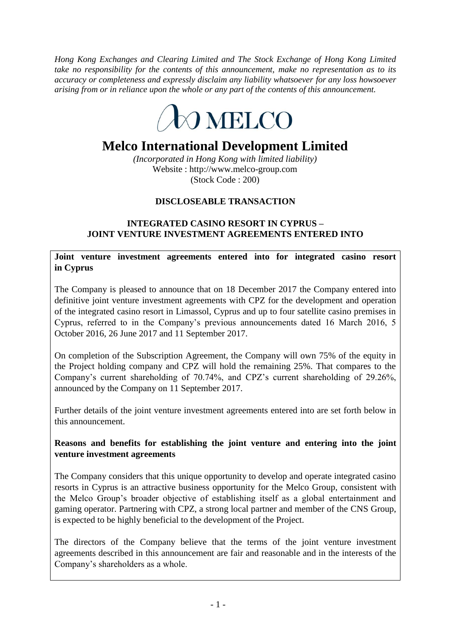*Hong Kong Exchanges and Clearing Limited and The Stock Exchange of Hong Kong Limited take no responsibility for the contents of this announcement, make no representation as to its accuracy or completeness and expressly disclaim any liability whatsoever for any loss howsoever arising from or in reliance upon the whole or any part of the contents of this announcement.*



# **Melco International Development Limited**

*(Incorporated in Hong Kong with limited liability)* Website : http://www.melco-group.com (Stock Code : 200)

## **DISCLOSEABLE TRANSACTION**

## **INTEGRATED CASINO RESORT IN CYPRUS – JOINT VENTURE INVESTMENT AGREEMENTS ENTERED INTO**

**Joint venture investment agreements entered into for integrated casino resort in Cyprus**

The Company is pleased to announce that on 18 December 2017 the Company entered into definitive joint venture investment agreements with CPZ for the development and operation of the integrated casino resort in Limassol, Cyprus and up to four satellite casino premises in Cyprus, referred to in the Company's previous announcements dated 16 March 2016, 5 October 2016, 26 June 2017 and 11 September 2017.

On completion of the Subscription Agreement, the Company will own 75% of the equity in the Project holding company and CPZ will hold the remaining 25%. That compares to the Company's current shareholding of 70.74%, and CPZ's current shareholding of 29.26%, announced by the Company on 11 September 2017.

Further details of the joint venture investment agreements entered into are set forth below in this announcement.

### **Reasons and benefits for establishing the joint venture and entering into the joint venture investment agreements**

The Company considers that this unique opportunity to develop and operate integrated casino resorts in Cyprus is an attractive business opportunity for the Melco Group, consistent with the Melco Group's broader objective of establishing itself as a global entertainment and gaming operator. Partnering with CPZ, a strong local partner and member of the CNS Group, is expected to be highly beneficial to the development of the Project.

The directors of the Company believe that the terms of the joint venture investment agreements described in this announcement are fair and reasonable and in the interests of the Company's shareholders as a whole.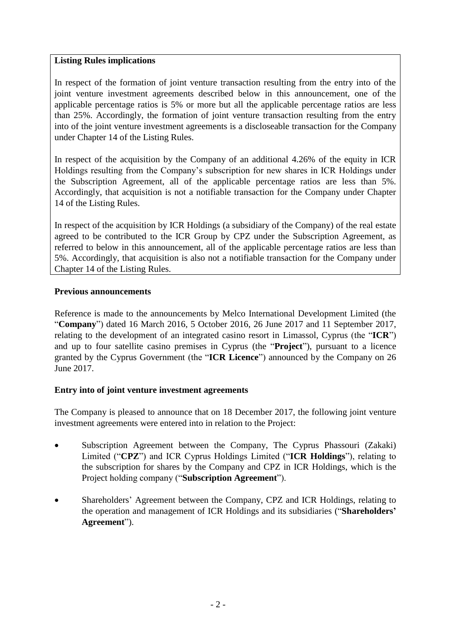### **Listing Rules implications**

In respect of the formation of joint venture transaction resulting from the entry into of the joint venture investment agreements described below in this announcement, one of the applicable percentage ratios is 5% or more but all the applicable percentage ratios are less than 25%. Accordingly, the formation of joint venture transaction resulting from the entry into of the joint venture investment agreements is a discloseable transaction for the Company under Chapter 14 of the Listing Rules.

In respect of the acquisition by the Company of an additional 4.26% of the equity in ICR Holdings resulting from the Company's subscription for new shares in ICR Holdings under the Subscription Agreement, all of the applicable percentage ratios are less than 5%. Accordingly, that acquisition is not a notifiable transaction for the Company under Chapter 14 of the Listing Rules.

In respect of the acquisition by ICR Holdings (a subsidiary of the Company) of the real estate agreed to be contributed to the ICR Group by CPZ under the Subscription Agreement, as referred to below in this announcement, all of the applicable percentage ratios are less than 5%. Accordingly, that acquisition is also not a notifiable transaction for the Company under Chapter 14 of the Listing Rules.

## **Previous announcements**

Reference is made to the announcements by Melco International Development Limited (the "**Company**") dated 16 March 2016, 5 October 2016, 26 June 2017 and 11 September 2017, relating to the development of an integrated casino resort in Limassol, Cyprus (the "**ICR**") and up to four satellite casino premises in Cyprus (the "**Project**"), pursuant to a licence granted by the Cyprus Government (the "**ICR Licence**") announced by the Company on 26 June 2017.

### **Entry into of joint venture investment agreements**

The Company is pleased to announce that on 18 December 2017, the following joint venture investment agreements were entered into in relation to the Project:

- Subscription Agreement between the Company, The Cyprus Phassouri (Zakaki) Limited ("**CPZ**") and ICR Cyprus Holdings Limited ("**ICR Holdings**"), relating to the subscription for shares by the Company and CPZ in ICR Holdings, which is the Project holding company ("**Subscription Agreement**").
- Shareholders' Agreement between the Company, CPZ and ICR Holdings, relating to the operation and management of ICR Holdings and its subsidiaries ("**Shareholders' Agreement**").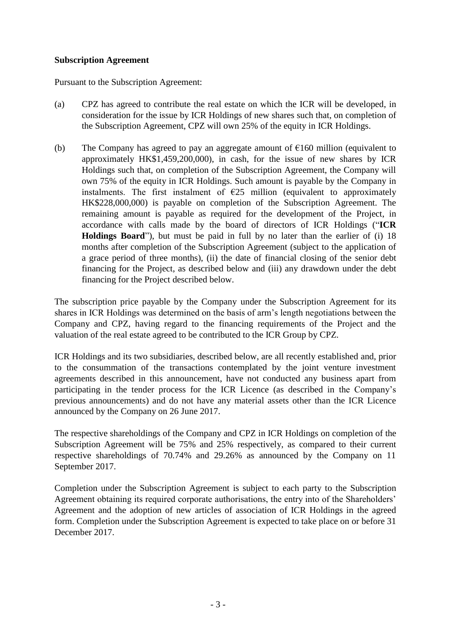#### **Subscription Agreement**

Pursuant to the Subscription Agreement:

- (a) CPZ has agreed to contribute the real estate on which the ICR will be developed, in consideration for the issue by ICR Holdings of new shares such that, on completion of the Subscription Agreement, CPZ will own 25% of the equity in ICR Holdings.
- (b) The Company has agreed to pay an aggregate amount of  $\epsilon$ 160 million (equivalent to approximately HK\$1,459,200,000), in cash, for the issue of new shares by ICR Holdings such that, on completion of the Subscription Agreement, the Company will own 75% of the equity in ICR Holdings. Such amount is payable by the Company in instalments. The first instalment of  $E25$  million (equivalent to approximately HK\$228,000,000) is payable on completion of the Subscription Agreement. The remaining amount is payable as required for the development of the Project, in accordance with calls made by the board of directors of ICR Holdings ("**ICR Holdings Board**"), but must be paid in full by no later than the earlier of (i) 18 months after completion of the Subscription Agreement (subject to the application of a grace period of three months), (ii) the date of financial closing of the senior debt financing for the Project, as described below and (iii) any drawdown under the debt financing for the Project described below.

The subscription price payable by the Company under the Subscription Agreement for its shares in ICR Holdings was determined on the basis of arm's length negotiations between the Company and CPZ, having regard to the financing requirements of the Project and the valuation of the real estate agreed to be contributed to the ICR Group by CPZ.

ICR Holdings and its two subsidiaries, described below, are all recently established and, prior to the consummation of the transactions contemplated by the joint venture investment agreements described in this announcement, have not conducted any business apart from participating in the tender process for the ICR Licence (as described in the Company's previous announcements) and do not have any material assets other than the ICR Licence announced by the Company on 26 June 2017.

The respective shareholdings of the Company and CPZ in ICR Holdings on completion of the Subscription Agreement will be 75% and 25% respectively, as compared to their current respective shareholdings of 70.74% and 29.26% as announced by the Company on 11 September 2017.

Completion under the Subscription Agreement is subject to each party to the Subscription Agreement obtaining its required corporate authorisations, the entry into of the Shareholders' Agreement and the adoption of new articles of association of ICR Holdings in the agreed form. Completion under the Subscription Agreement is expected to take place on or before 31 December 2017.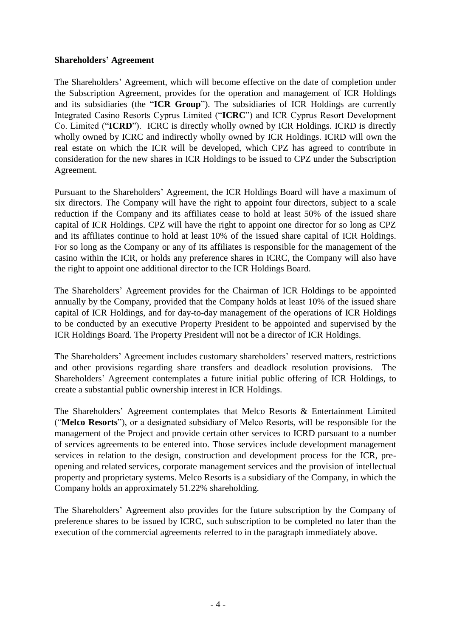### **Shareholders' Agreement**

The Shareholders' Agreement, which will become effective on the date of completion under the Subscription Agreement, provides for the operation and management of ICR Holdings and its subsidiaries (the "**ICR Group**"). The subsidiaries of ICR Holdings are currently Integrated Casino Resorts Cyprus Limited ("**ICRC**") and ICR Cyprus Resort Development Co. Limited ("**ICRD**"). ICRC is directly wholly owned by ICR Holdings. ICRD is directly wholly owned by ICRC and indirectly wholly owned by ICR Holdings. ICRD will own the real estate on which the ICR will be developed, which CPZ has agreed to contribute in consideration for the new shares in ICR Holdings to be issued to CPZ under the Subscription Agreement.

Pursuant to the Shareholders' Agreement, the ICR Holdings Board will have a maximum of six directors. The Company will have the right to appoint four directors, subject to a scale reduction if the Company and its affiliates cease to hold at least 50% of the issued share capital of ICR Holdings. CPZ will have the right to appoint one director for so long as CPZ and its affiliates continue to hold at least 10% of the issued share capital of ICR Holdings. For so long as the Company or any of its affiliates is responsible for the management of the casino within the ICR, or holds any preference shares in ICRC, the Company will also have the right to appoint one additional director to the ICR Holdings Board.

The Shareholders' Agreement provides for the Chairman of ICR Holdings to be appointed annually by the Company, provided that the Company holds at least 10% of the issued share capital of ICR Holdings, and for day-to-day management of the operations of ICR Holdings to be conducted by an executive Property President to be appointed and supervised by the ICR Holdings Board. The Property President will not be a director of ICR Holdings.

The Shareholders' Agreement includes customary shareholders' reserved matters, restrictions and other provisions regarding share transfers and deadlock resolution provisions. The Shareholders' Agreement contemplates a future initial public offering of ICR Holdings, to create a substantial public ownership interest in ICR Holdings.

The Shareholders' Agreement contemplates that Melco Resorts & Entertainment Limited ("**Melco Resorts**"), or a designated subsidiary of Melco Resorts, will be responsible for the management of the Project and provide certain other services to ICRD pursuant to a number of services agreements to be entered into. Those services include development management services in relation to the design, construction and development process for the ICR, preopening and related services, corporate management services and the provision of intellectual property and proprietary systems. Melco Resorts is a subsidiary of the Company, in which the Company holds an approximately 51.22% shareholding.

The Shareholders' Agreement also provides for the future subscription by the Company of preference shares to be issued by ICRC, such subscription to be completed no later than the execution of the commercial agreements referred to in the paragraph immediately above.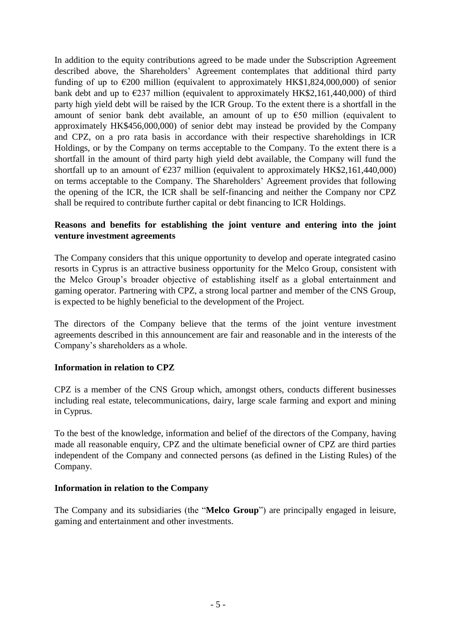In addition to the equity contributions agreed to be made under the Subscription Agreement described above, the Shareholders' Agreement contemplates that additional third party funding of up to  $\epsilon$ 200 million (equivalent to approximately HK\$1,824,000,000) of senior bank debt and up to  $\epsilon$ 237 million (equivalent to approximately HK\$2,161,440,000) of third party high yield debt will be raised by the ICR Group. To the extent there is a shortfall in the amount of senior bank debt available, an amount of up to  $\epsilon$ 50 million (equivalent to approximately HK\$456,000,000) of senior debt may instead be provided by the Company and CPZ, on a pro rata basis in accordance with their respective shareholdings in ICR Holdings, or by the Company on terms acceptable to the Company. To the extent there is a shortfall in the amount of third party high yield debt available, the Company will fund the shortfall up to an amount of  $\epsilon$ 237 million (equivalent to approximately HK\$2,161,440,000) on terms acceptable to the Company. The Shareholders' Agreement provides that following the opening of the ICR, the ICR shall be self-financing and neither the Company nor CPZ shall be required to contribute further capital or debt financing to ICR Holdings.

#### **Reasons and benefits for establishing the joint venture and entering into the joint venture investment agreements**

The Company considers that this unique opportunity to develop and operate integrated casino resorts in Cyprus is an attractive business opportunity for the Melco Group, consistent with the Melco Group's broader objective of establishing itself as a global entertainment and gaming operator. Partnering with CPZ, a strong local partner and member of the CNS Group, is expected to be highly beneficial to the development of the Project.

The directors of the Company believe that the terms of the joint venture investment agreements described in this announcement are fair and reasonable and in the interests of the Company's shareholders as a whole.

### **Information in relation to CPZ**

CPZ is a member of the CNS Group which, amongst others, conducts different businesses including real estate, telecommunications, dairy, large scale farming and export and mining in Cyprus.

To the best of the knowledge, information and belief of the directors of the Company, having made all reasonable enquiry, CPZ and the ultimate beneficial owner of CPZ are third parties independent of the Company and connected persons (as defined in the Listing Rules) of the Company.

#### **Information in relation to the Company**

The Company and its subsidiaries (the "**Melco Group**") are principally engaged in leisure, gaming and entertainment and other investments.